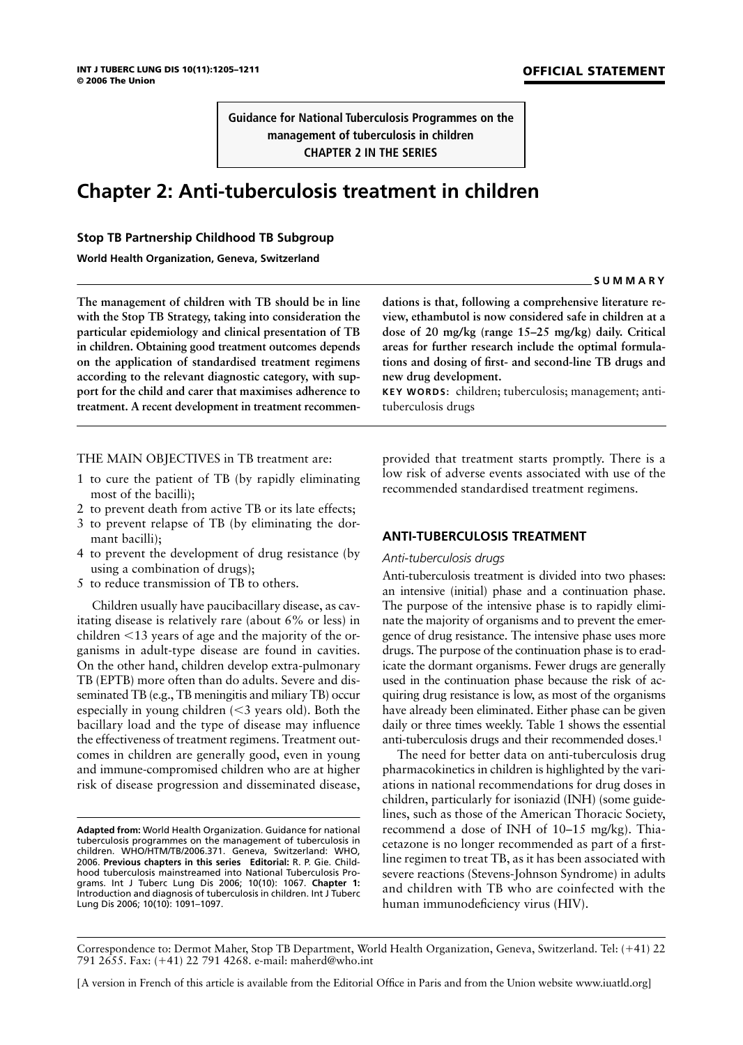**SUMMARY**

**Guidance for National Tuberculosis Programmes on the management of tuberculosis in children CHAPTER 2 IN THE SERIES**

# **Chapter 2: Anti-tuberculosis treatment in children**

# **Stop TB Partnership Childhood TB Subgroup**

**World Health Organization, Geneva, Switzerland**

**The management of children with TB should be in line with the Stop TB Strategy, taking into consideration the particular epidemiology and clinical presentation of TB in children. Obtaining good treatment outcomes depends on the application of standardised treatment regimens according to the relevant diagnostic category, with support for the child and carer that maximises adherence to treatment. A recent development in treatment recommen-** **dations is that, following a comprehensive literature review, ethambutol is now considered safe in children at a dose of 20 mg/kg (range 15–25 mg/kg) daily. Critical areas for further research include the optimal formulations and dosing of first- and second-line TB drugs and new drug development.**

**KEY WORDS:** children; tuberculosis; management; antituberculosis drugs

THE MAIN OBJECTIVES in TB treatment are:

- 1 to cure the patient of TB (by rapidly eliminating most of the bacilli);
- 2 to prevent death from active TB or its late effects;
- 3 to prevent relapse of TB (by eliminating the dormant bacilli);
- 4 to prevent the development of drug resistance (by using a combination of drugs);
- 5 to reduce transmission of TB to others.

Children usually have paucibacillary disease, as cavitating disease is relatively rare (about 6% or less) in children -13 years of age and the majority of the organisms in adult-type disease are found in cavities. On the other hand, children develop extra-pulmonary TB (EPTB) more often than do adults. Severe and disseminated TB (e.g., TB meningitis and miliary TB) occur especially in young children ( $<$ 3 years old). Both the bacillary load and the type of disease may influence the effectiveness of treatment regimens. Treatment outcomes in children are generally good, even in young and immune-compromised children who are at higher risk of disease progression and disseminated disease, provided that treatment starts promptly. There is a low risk of adverse events associated with use of the recommended standardised treatment regimens.

# **ANTI-TUBERCULOSIS TREATMENT**

## *Anti-tuberculosis drugs*

Anti-tuberculosis treatment is divided into two phases: an intensive (initial) phase and a continuation phase. The purpose of the intensive phase is to rapidly eliminate the majority of organisms and to prevent the emergence of drug resistance. The intensive phase uses more drugs. The purpose of the continuation phase is to eradicate the dormant organisms. Fewer drugs are generally used in the continuation phase because the risk of acquiring drug resistance is low, as most of the organisms have already been eliminated. Either phase can be given daily or three times weekly. Table 1 shows the essential anti-tuberculosis drugs and their recommended doses.<sup>1</sup>

The need for better data on anti-tuberculosis drug pharmacokinetics in children is highlighted by the variations in national recommendations for drug doses in children, particularly for isoniazid (INH) (some guidelines, such as those of the American Thoracic Society, recommend a dose of INH of 10–15 mg/kg). Thiacetazone is no longer recommended as part of a firstline regimen to treat TB, as it has been associated with severe reactions (Stevens-Johnson Syndrome) in adults and children with TB who are coinfected with the human immunodeficiency virus (HIV).

Correspondence to: Dermot Maher, Stop TB Department, World Health Organization, Geneva, Switzerland. Tel: (41) 22 791 2655. Fax: (41) 22 791 4268. e-mail: maherd@who.int

[A version in French of this article is available from the Editorial Office in Paris and from the Union website www.iuatld.org]

**Adapted from:** World Health Organization. Guidance for national tuberculosis programmes on the management of tuberculosis in children. WHO/HTM/TB/2006.371. Geneva, Switzerland: WHO, 2006. **Previous chapters in this series Editorial:** R. P. Gie. Childhood tuberculosis mainstreamed into National Tuberculosis Programs. Int J Tuberc Lung Dis 2006; 10(10): 1067. **Chapter 1:** Introduction and diagnosis of tuberculosis in children. Int J Tuberc Lung Dis 2006; 10(10): 1091–1097.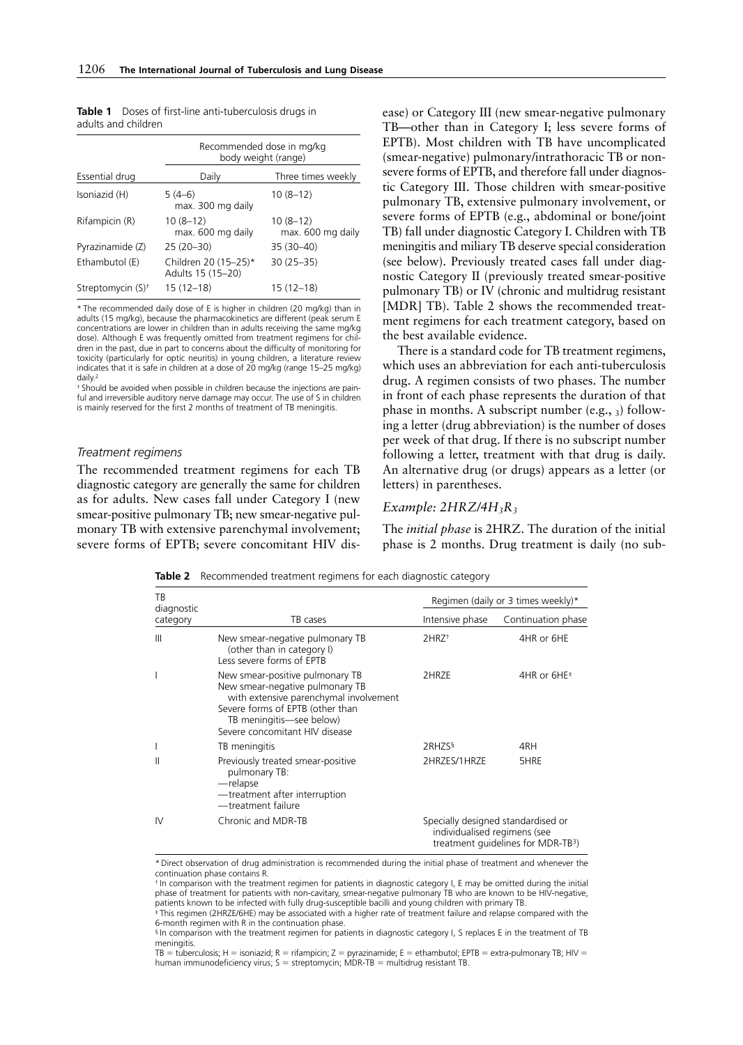| <b>Table 1</b> Doses of first-line anti-tuberculosis drugs in |  |
|---------------------------------------------------------------|--|
| adults and children                                           |  |

|                               | Recommended dose in mg/kg<br>body weight (range) |                                 |  |
|-------------------------------|--------------------------------------------------|---------------------------------|--|
| Essential drug                | Daily                                            | Three times weekly              |  |
| Isoniazid (H)                 | $5(4-6)$<br>max. 300 mg daily                    | $10(8-12)$                      |  |
| Rifampicin (R)                | $10(8-12)$<br>max. 600 mg daily                  | $10(8-12)$<br>max. 600 mg daily |  |
| Pyrazinamide (Z)              | 25 (20-30)                                       | 35 (30-40)                      |  |
| Ethambutol (E)                | Children 20 (15-25)*<br>Adults 15 (15-20)        | $30(25 - 35)$                   |  |
| Streptomycin (S) <sup>+</sup> | $15(12-18)$                                      | $15(12-18)$                     |  |

\* The recommended daily dose of E is higher in children (20 mg/kg) than in adults (15 mg/kg), because the pharmacokinetics are different (peak serum E concentrations are lower in children than in adults receiving the same mg/kg dose). Although E was frequently omitted from treatment regimens for children in the past, due in part to concerns about the difficulty of monitoring for toxicity (particularly for optic neuritis) in young children, a literature review indicates that it is safe in children at a dose of 20 mg/kg (range 15–25 mg/kg) daily.2

† Should be avoided when possible in children because the injections are painful and irreversible auditory nerve damage may occur. The use of S in children is mainly reserved for the first 2 months of treatment of TB meningitis.

## *Treatment regimens*

The recommended treatment regimens for each TB diagnostic category are generally the same for children as for adults. New cases fall under Category I (new smear-positive pulmonary TB; new smear-negative pulmonary TB with extensive parenchymal involvement; severe forms of EPTB; severe concomitant HIV disease) or Category III (new smear-negative pulmonary TB—other than in Category I; less severe forms of EPTB). Most children with TB have uncomplicated (smear-negative) pulmonary/intrathoracic TB or nonsevere forms of EPTB, and therefore fall under diagnostic Category III. Those children with smear-positive pulmonary TB, extensive pulmonary involvement, or severe forms of EPTB (e.g., abdominal or bone/joint TB) fall under diagnostic Category I. Children with TB meningitis and miliary TB deserve special consideration (see below). Previously treated cases fall under diagnostic Category II (previously treated smear-positive pulmonary TB) or IV (chronic and multidrug resistant [MDR] TB). Table 2 shows the recommended treatment regimens for each treatment category, based on the best available evidence.

There is a standard code for TB treatment regimens, which uses an abbreviation for each anti-tuberculosis drug. A regimen consists of two phases. The number in front of each phase represents the duration of that phase in months. A subscript number (e.g., 3) following a letter (drug abbreviation) is the number of doses per week of that drug. If there is no subscript number following a letter, treatment with that drug is daily. An alternative drug (or drugs) appears as a letter (or letters) in parentheses.

# *Example: 2HRZ/4H3R3*

The *initial phase* is 2HRZ. The duration of the initial phase is 2 months. Drug treatment is daily (no sub-

**Table 2** Recommended treatment regimens for each diagnostic category

| TB<br>diagnostic |                                                                                                                                                                                                                | Regimen (daily or 3 times weekly)*                                                                                   |                         |  |
|------------------|----------------------------------------------------------------------------------------------------------------------------------------------------------------------------------------------------------------|----------------------------------------------------------------------------------------------------------------------|-------------------------|--|
| category         | TB cases                                                                                                                                                                                                       | Intensive phase                                                                                                      | Continuation phase      |  |
| Ш                | New smear-negative pulmonary TB<br>(other than in category I)<br>Less severe forms of EPTB                                                                                                                     | $2HRZ^+$                                                                                                             | 4HR or 6HE              |  |
|                  | New smear-positive pulmonary TB<br>New smear-negative pulmonary TB<br>with extensive parenchymal involvement<br>Severe forms of EPTB (other than<br>TB meningitis-see below)<br>Severe concomitant HIV disease | 2HRZE                                                                                                                | 4HR or 6HE <sup>+</sup> |  |
|                  | TB meningitis                                                                                                                                                                                                  | 2RHZS <sup>§</sup>                                                                                                   | 4RH                     |  |
| II               | Previously treated smear-positive<br>pulmonary TB:<br>— relapse<br>-treatment after interruption<br>-treatment failure                                                                                         | 2HRZES/1HRZE                                                                                                         | 5HRE                    |  |
| IV               | Chronic and MDR-TB                                                                                                                                                                                             | Specially designed standardised or<br>individualised regimens (see<br>treatment quidelines for MDR-TB <sup>3</sup> ) |                         |  |

\*Direct observation of drug administration is recommended during the initial phase of treatment and whenever the continuation phase contains R.

† In comparison with the treatment regimen for patients in diagnostic category I, E may be omitted during the initial phase of treatment for patients with non-cavitary, smear-negative pulmonary TB who are known to be HIV-negative, patients known to be infected with fully drug-susceptible bacilli and young children with primary TB.

<sup>‡</sup> This regimen (2HRZE/6HE) may be associated with a higher rate of treatment failure and relapse compared with the 6-month regimen with R in the continuation phase. § In comparison with the treatment regimen for patients in diagnostic category I, S replaces E in the treatment of TB

meningitis. TB = tuberculosis; H = isoniazid; R = rifampicin; Z = pyrazinamide; E = ethambutol; EPTB = extra-pulmonary TB; HIV =

human immunodeficiency virus;  $S =$  streptomycin; MDR-TB = multidrug resistant TB.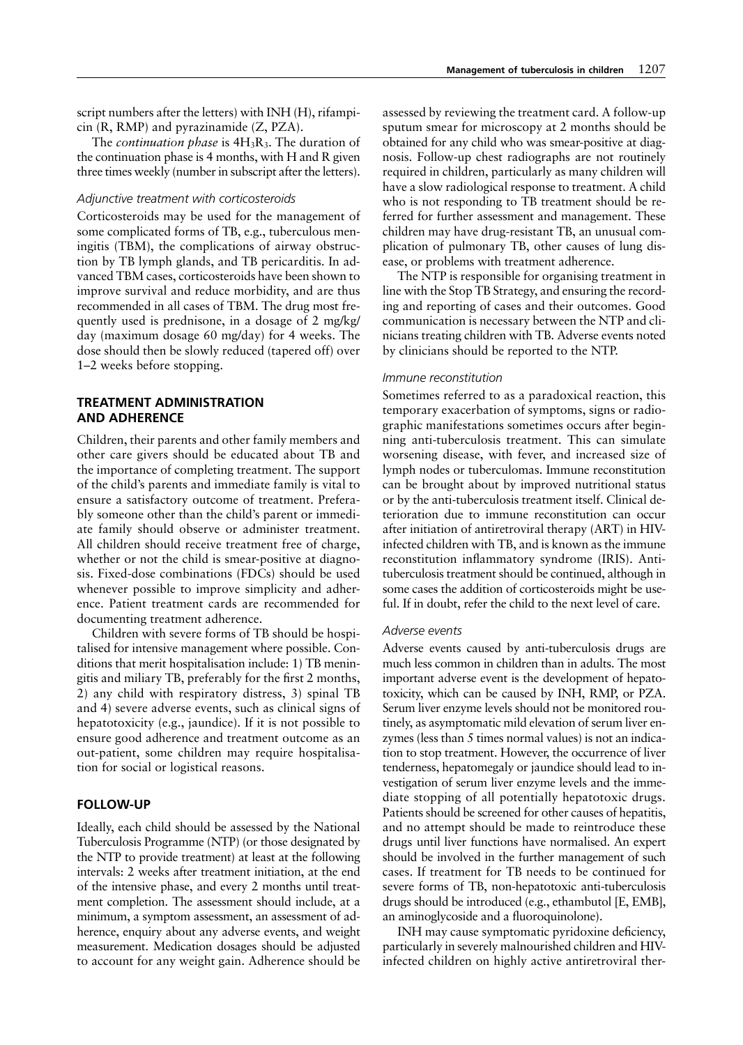script numbers after the letters) with INH (H), rifampicin (R, RMP) and pyrazinamide (Z, PZA).

The *continuation phase* is 4H3R3. The duration of the continuation phase is 4 months, with H and R given three times weekly (number in subscript after the letters).

## *Adjunctive treatment with corticosteroids*

Corticosteroids may be used for the management of some complicated forms of TB, e.g., tuberculous meningitis (TBM), the complications of airway obstruction by TB lymph glands, and TB pericarditis. In advanced TBM cases, corticosteroids have been shown to improve survival and reduce morbidity, and are thus recommended in all cases of TBM. The drug most frequently used is prednisone, in a dosage of 2 mg/kg/ day (maximum dosage 60 mg/day) for 4 weeks. The dose should then be slowly reduced (tapered off) over 1–2 weeks before stopping.

# **TREATMENT ADMINISTRATION AND ADHERENCE**

Children, their parents and other family members and other care givers should be educated about TB and the importance of completing treatment. The support of the child's parents and immediate family is vital to ensure a satisfactory outcome of treatment. Preferably someone other than the child's parent or immediate family should observe or administer treatment. All children should receive treatment free of charge, whether or not the child is smear-positive at diagnosis. Fixed-dose combinations (FDCs) should be used whenever possible to improve simplicity and adherence. Patient treatment cards are recommended for documenting treatment adherence.

Children with severe forms of TB should be hospitalised for intensive management where possible. Conditions that merit hospitalisation include: 1) TB meningitis and miliary TB, preferably for the first 2 months, 2) any child with respiratory distress, 3) spinal TB and 4) severe adverse events, such as clinical signs of hepatotoxicity (e.g., jaundice). If it is not possible to ensure good adherence and treatment outcome as an out-patient, some children may require hospitalisation for social or logistical reasons.

## **FOLLOW-UP**

Ideally, each child should be assessed by the National Tuberculosis Programme (NTP) (or those designated by the NTP to provide treatment) at least at the following intervals: 2 weeks after treatment initiation, at the end of the intensive phase, and every 2 months until treatment completion. The assessment should include, at a minimum, a symptom assessment, an assessment of adherence, enquiry about any adverse events, and weight measurement. Medication dosages should be adjusted to account for any weight gain. Adherence should be

assessed by reviewing the treatment card. A follow-up sputum smear for microscopy at 2 months should be obtained for any child who was smear-positive at diagnosis. Follow-up chest radiographs are not routinely required in children, particularly as many children will have a slow radiological response to treatment. A child who is not responding to TB treatment should be referred for further assessment and management. These children may have drug-resistant TB, an unusual complication of pulmonary TB, other causes of lung disease, or problems with treatment adherence.

The NTP is responsible for organising treatment in line with the Stop TB Strategy, and ensuring the recording and reporting of cases and their outcomes. Good communication is necessary between the NTP and clinicians treating children with TB. Adverse events noted by clinicians should be reported to the NTP.

#### *Immune reconstitution*

Sometimes referred to as a paradoxical reaction, this temporary exacerbation of symptoms, signs or radiographic manifestations sometimes occurs after beginning anti-tuberculosis treatment. This can simulate worsening disease, with fever, and increased size of lymph nodes or tuberculomas. Immune reconstitution can be brought about by improved nutritional status or by the anti-tuberculosis treatment itself. Clinical deterioration due to immune reconstitution can occur after initiation of antiretroviral therapy (ART) in HIVinfected children with TB, and is known as the immune reconstitution inflammatory syndrome (IRIS). Antituberculosis treatment should be continued, although in some cases the addition of corticosteroids might be useful. If in doubt, refer the child to the next level of care.

## *Adverse events*

Adverse events caused by anti-tuberculosis drugs are much less common in children than in adults. The most important adverse event is the development of hepatotoxicity, which can be caused by INH, RMP, or PZA. Serum liver enzyme levels should not be monitored routinely, as asymptomatic mild elevation of serum liver enzymes (less than 5 times normal values) is not an indication to stop treatment. However, the occurrence of liver tenderness, hepatomegaly or jaundice should lead to investigation of serum liver enzyme levels and the immediate stopping of all potentially hepatotoxic drugs. Patients should be screened for other causes of hepatitis, and no attempt should be made to reintroduce these drugs until liver functions have normalised. An expert should be involved in the further management of such cases. If treatment for TB needs to be continued for severe forms of TB, non-hepatotoxic anti-tuberculosis drugs should be introduced (e.g., ethambutol [E, EMB], an aminoglycoside and a fluoroquinolone).

INH may cause symptomatic pyridoxine deficiency, particularly in severely malnourished children and HIVinfected children on highly active antiretroviral ther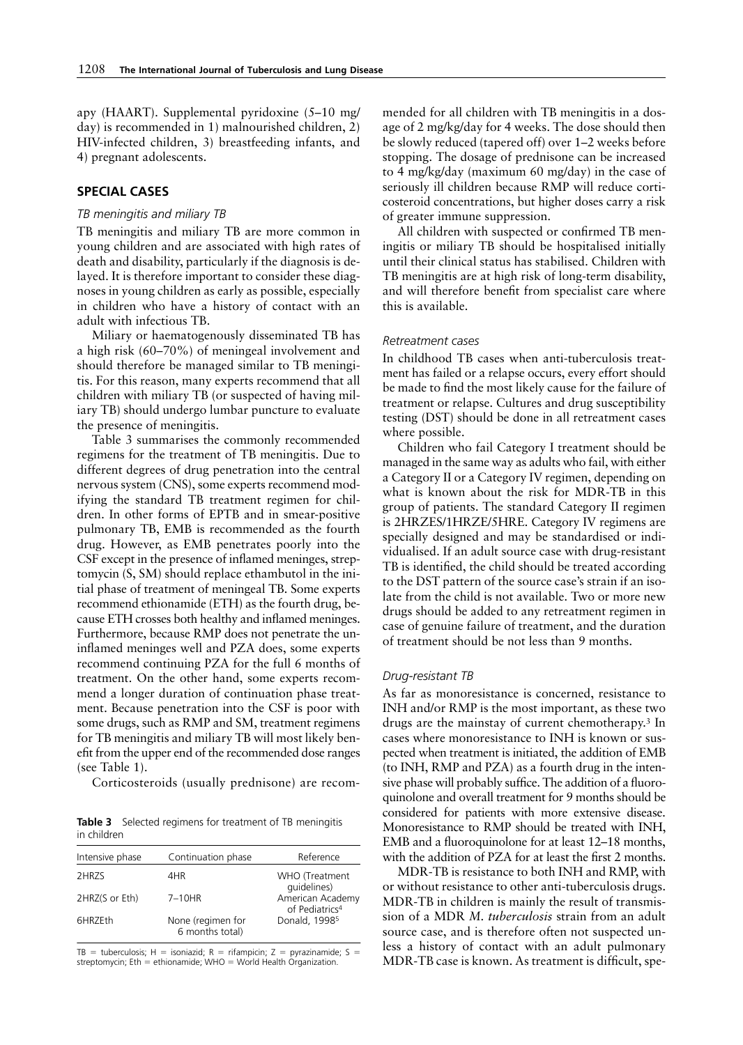apy (HAART). Supplemental pyridoxine (5–10 mg/ day) is recommended in 1) malnourished children, 2) HIV-infected children, 3) breastfeeding infants, and 4) pregnant adolescents.

# **SPECIAL CASES**

# *TB meningitis and miliary TB*

TB meningitis and miliary TB are more common in young children and are associated with high rates of death and disability, particularly if the diagnosis is delayed. It is therefore important to consider these diagnoses in young children as early as possible, especially in children who have a history of contact with an adult with infectious TB.

Miliary or haematogenously disseminated TB has a high risk (60–70%) of meningeal involvement and should therefore be managed similar to TB meningitis. For this reason, many experts recommend that all children with miliary TB (or suspected of having miliary TB) should undergo lumbar puncture to evaluate the presence of meningitis.

Table 3 summarises the commonly recommended regimens for the treatment of TB meningitis. Due to different degrees of drug penetration into the central nervous system (CNS), some experts recommend modifying the standard TB treatment regimen for children. In other forms of EPTB and in smear-positive pulmonary TB, EMB is recommended as the fourth drug. However, as EMB penetrates poorly into the CSF except in the presence of inflamed meninges, streptomycin (S, SM) should replace ethambutol in the initial phase of treatment of meningeal TB. Some experts recommend ethionamide (ETH) as the fourth drug, because ETH crosses both healthy and inflamed meninges. Furthermore, because RMP does not penetrate the uninflamed meninges well and PZA does, some experts recommend continuing PZA for the full 6 months of treatment. On the other hand, some experts recommend a longer duration of continuation phase treatment. Because penetration into the CSF is poor with some drugs, such as RMP and SM, treatment regimens for TB meningitis and miliary TB will most likely benefit from the upper end of the recommended dose ranges (see Table 1).

Corticosteroids (usually prednisone) are recom-

**Table 3** Selected regimens for treatment of TB meningitis in children

| Intensive phase | Continuation phase                   | Reference                                      |
|-----------------|--------------------------------------|------------------------------------------------|
| 2HRZS           | 4HR                                  | WHO (Treatment<br>quidelines)                  |
| 2HRZ(S or Eth)  | 7-10HR                               | American Academy<br>of Pediatrics <sup>4</sup> |
| 6HRZEth         | None (regimen for<br>6 months total) | Donald, 1998 <sup>5</sup>                      |

TB = tuberculosis; H = isoniazid; R = rifampicin; Z = pyrazinamide; S = streptomycin; Eth = ethionamide; WHO = World Health Organization.

mended for all children with TB meningitis in a dosage of 2 mg/kg/day for 4 weeks. The dose should then be slowly reduced (tapered off) over 1–2 weeks before stopping. The dosage of prednisone can be increased to 4 mg/kg/day (maximum 60 mg/day) in the case of seriously ill children because RMP will reduce corticosteroid concentrations, but higher doses carry a risk of greater immune suppression.

All children with suspected or confirmed TB meningitis or miliary TB should be hospitalised initially until their clinical status has stabilised. Children with TB meningitis are at high risk of long-term disability, and will therefore benefit from specialist care where this is available.

#### *Retreatment cases*

In childhood TB cases when anti-tuberculosis treatment has failed or a relapse occurs, every effort should be made to find the most likely cause for the failure of treatment or relapse. Cultures and drug susceptibility testing (DST) should be done in all retreatment cases where possible.

Children who fail Category I treatment should be managed in the same way as adults who fail, with either a Category II or a Category IV regimen, depending on what is known about the risk for MDR-TB in this group of patients. The standard Category II regimen is 2HRZES/1HRZE/5HRE. Category IV regimens are specially designed and may be standardised or individualised. If an adult source case with drug-resistant TB is identified, the child should be treated according to the DST pattern of the source case's strain if an isolate from the child is not available. Two or more new drugs should be added to any retreatment regimen in case of genuine failure of treatment, and the duration of treatment should be not less than 9 months.

#### *Drug-resistant TB*

As far as monoresistance is concerned, resistance to INH and/or RMP is the most important, as these two drugs are the mainstay of current chemotherapy.3 In cases where monoresistance to INH is known or suspected when treatment is initiated, the addition of EMB (to INH, RMP and PZA) as a fourth drug in the intensive phase will probably suffice. The addition of a fluoroquinolone and overall treatment for 9 months should be considered for patients with more extensive disease. Monoresistance to RMP should be treated with INH, EMB and a fluoroquinolone for at least 12–18 months, with the addition of PZA for at least the first 2 months.

MDR-TB is resistance to both INH and RMP, with or without resistance to other anti-tuberculosis drugs. MDR-TB in children is mainly the result of transmission of a MDR *M. tuberculosis* strain from an adult source case, and is therefore often not suspected unless a history of contact with an adult pulmonary MDR-TB case is known. As treatment is difficult, spe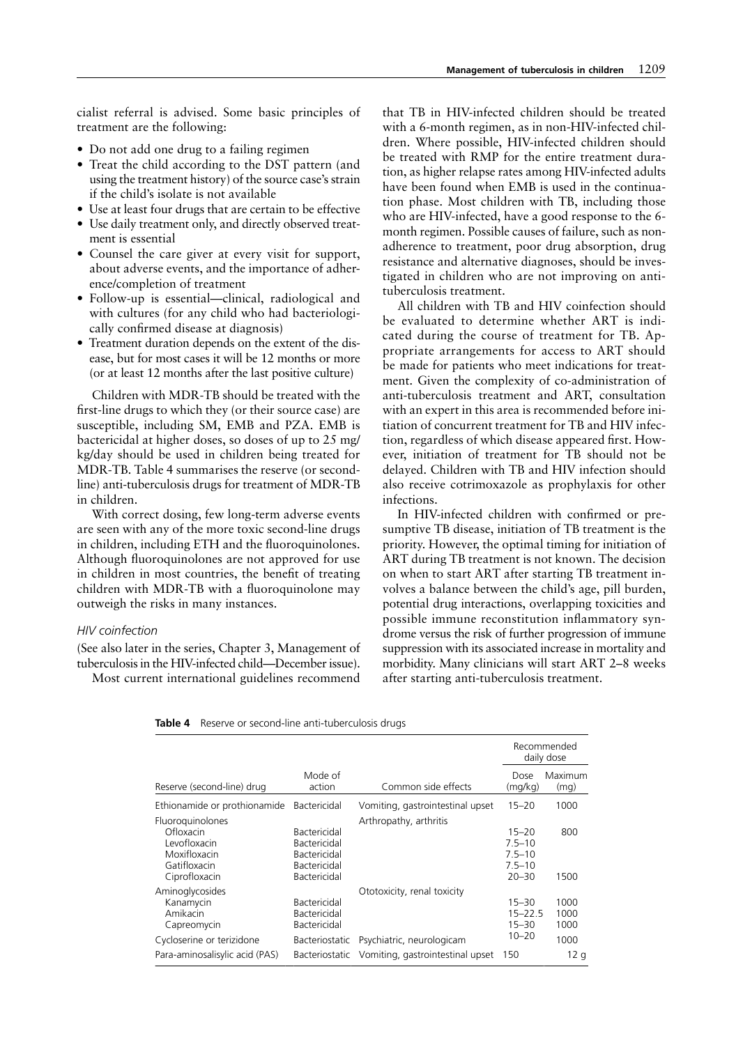cialist referral is advised. Some basic principles of treatment are the following:

- Do not add one drug to a failing regimen
- Treat the child according to the DST pattern (and using the treatment history) of the source case's strain if the child's isolate is not available
- Use at least four drugs that are certain to be effective
- Use daily treatment only, and directly observed treatment is essential
- Counsel the care giver at every visit for support, about adverse events, and the importance of adherence/completion of treatment
- Follow-up is essential—clinical, radiological and with cultures (for any child who had bacteriologically confirmed disease at diagnosis)
- Treatment duration depends on the extent of the disease, but for most cases it will be 12 months or more (or at least 12 months after the last positive culture)

Children with MDR-TB should be treated with the first-line drugs to which they (or their source case) are susceptible, including SM, EMB and PZA. EMB is bactericidal at higher doses, so doses of up to 25 mg/ kg/day should be used in children being treated for MDR-TB. Table 4 summarises the reserve (or secondline) anti-tuberculosis drugs for treatment of MDR-TB in children.

With correct dosing, few long-term adverse events are seen with any of the more toxic second-line drugs in children, including ETH and the fluoroquinolones. Although fluoroquinolones are not approved for use in children in most countries, the benefit of treating children with MDR-TB with a fluoroquinolone may outweigh the risks in many instances.

## *HIV coinfection*

(See also later in the series, Chapter 3, Management of tuberculosis in the HIV-infected child—December issue).

Most current international guidelines recommend

that TB in HIV-infected children should be treated with a 6-month regimen, as in non-HIV-infected children. Where possible, HIV-infected children should be treated with RMP for the entire treatment duration, as higher relapse rates among HIV-infected adults have been found when EMB is used in the continuation phase. Most children with TB, including those who are HIV-infected, have a good response to the 6 month regimen. Possible causes of failure, such as nonadherence to treatment, poor drug absorption, drug resistance and alternative diagnoses, should be investigated in children who are not improving on antituberculosis treatment.

All children with TB and HIV coinfection should be evaluated to determine whether ART is indicated during the course of treatment for TB. Appropriate arrangements for access to ART should be made for patients who meet indications for treatment. Given the complexity of co-administration of anti-tuberculosis treatment and ART, consultation with an expert in this area is recommended before initiation of concurrent treatment for TB and HIV infection, regardless of which disease appeared first. However, initiation of treatment for TB should not be delayed. Children with TB and HIV infection should also receive cotrimoxazole as prophylaxis for other infections.

In HIV-infected children with confirmed or presumptive TB disease, initiation of TB treatment is the priority. However, the optimal timing for initiation of ART during TB treatment is not known. The decision on when to start ART after starting TB treatment involves a balance between the child's age, pill burden, potential drug interactions, overlapping toxicities and possible immune reconstitution inflammatory syndrome versus the risk of further progression of immune suppression with its associated increase in mortality and morbidity. Many clinicians will start ART 2–8 weeks after starting anti-tuberculosis treatment.

**Table 4** Reserve or second-line anti-tuberculosis drugs

|                                                                                                |                                                                                     |                                  | Recommended<br>daily dose                                        |                      |
|------------------------------------------------------------------------------------------------|-------------------------------------------------------------------------------------|----------------------------------|------------------------------------------------------------------|----------------------|
| Reserve (second-line) drug                                                                     | Mode of<br>action                                                                   | Common side effects              | Dose<br>(mg/kg)                                                  | Maximum<br>(mq)      |
| Ethionamide or prothionamide                                                                   | Bactericidal                                                                        | Vomiting, gastrointestinal upset | $15 - 20$                                                        | 1000                 |
| Fluoroquinolones<br>Ofloxacin<br>Levofloxacin<br>Moxifloxacin<br>Gatifloxacin<br>Ciprofloxacin | <b>Bactericidal</b><br>Bactericidal<br>Bactericidal<br>Bactericidal<br>Bactericidal | Arthropathy, arthritis           | $15 - 20$<br>$7.5 - 10$<br>$7.5 - 10$<br>$7.5 - 10$<br>$20 - 30$ | 800<br>1500          |
| Aminoglycosides<br>Kanamycin<br>Amikacin<br>Capreomycin                                        | Bactericidal<br>Bactericidal<br>Bactericidal                                        | Ototoxicity, renal toxicity      | $15 - 30$<br>$15 - 22.5$<br>$15 - 30$                            | 1000<br>1000<br>1000 |
| Cycloserine or terizidone                                                                      | <b>Bacteriostatic</b>                                                               | Psychiatric, neurologicam        | $10 - 20$                                                        | 1000                 |
| Para-aminosalisylic acid (PAS)                                                                 | Bacteriostatic                                                                      | Vomiting, gastrointestinal upset | 150                                                              | 12q                  |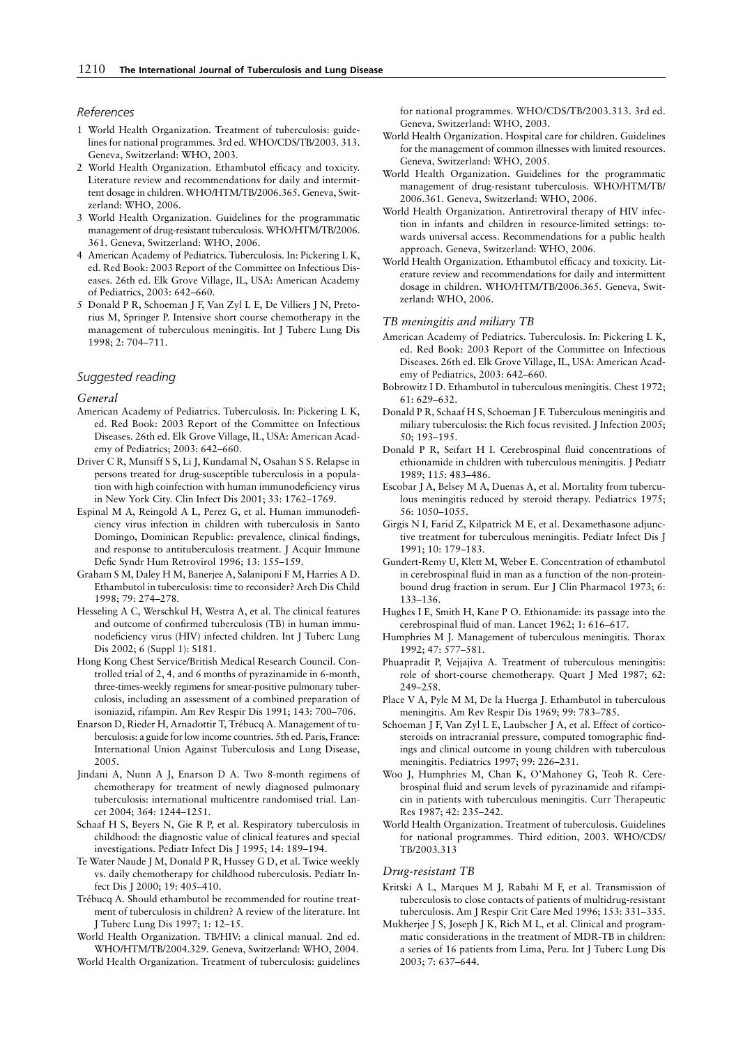#### *References*

- 1 World Health Organization. Treatment of tuberculosis: guidelines for national programmes. 3rd ed. WHO/CDS/TB/2003. 313. Geneva, Switzerland: WHO, 2003.
- 2 World Health Organization. Ethambutol efficacy and toxicity. Literature review and recommendations for daily and intermittent dosage in children. WHO/HTM/TB/2006.365. Geneva, Switzerland: WHO, 2006.
- 3 World Health Organization. Guidelines for the programmatic management of drug-resistant tuberculosis. WHO/HTM/TB/2006. 361. Geneva, Switzerland: WHO, 2006.
- 4 American Academy of Pediatrics. Tuberculosis. In: Pickering L K, ed. Red Book: 2003 Report of the Committee on Infectious Diseases. 26th ed. Elk Grove Village, IL, USA: American Academy of Pediatrics, 2003: 642–660.
- 5 Donald P R, Schoeman J F, Van Zyl L E, De Villiers J N, Pretorius M, Springer P. Intensive short course chemotherapy in the management of tuberculous meningitis. Int J Tuberc Lung Dis 1998; 2: 704–711.

#### *Suggested reading*

#### *General*

- American Academy of Pediatrics. Tuberculosis. In: Pickering L K, ed. Red Book: 2003 Report of the Committee on Infectious Diseases. 26th ed. Elk Grove Village, IL, USA: American Academy of Pediatrics; 2003: 642–660.
- Driver C R, Munsiff S S, Li J, Kundamal N, Osahan S S. Relapse in persons treated for drug-susceptible tuberculosis in a population with high coinfection with human immunodeficiency virus in New York City. Clin Infect Dis 2001; 33: 1762–1769.
- Espinal M A, Reingold A L, Perez G, et al. Human immunodeficiency virus infection in children with tuberculosis in Santo Domingo, Dominican Republic: prevalence, clinical findings, and response to antituberculosis treatment. J Acquir Immune Defic Syndr Hum Retrovirol 1996; 13: 155–159.
- Graham S M, Daley H M, Banerjee A, Salaniponi F M, Harries A D. Ethambutol in tuberculosis: time to reconsider? Arch Dis Child 1998; 79: 274–278.
- Hesseling A C, Werschkul H, Westra A, et al. The clinical features and outcome of confirmed tuberculosis (TB) in human immunodeficiency virus (HIV) infected children. Int J Tuberc Lung Dis 2002; 6 (Suppl 1): S181.
- Hong Kong Chest Service/British Medical Research Council. Controlled trial of 2, 4, and 6 months of pyrazinamide in 6-month, three-times-weekly regimens for smear-positive pulmonary tuberculosis, including an assessment of a combined preparation of isoniazid, rifampin. Am Rev Respir Dis 1991; 143: 700–706.
- Enarson D, Rieder H, Arnadottir T, Trébucq A. Management of tuberculosis: a guide for low income countries. 5th ed. Paris, France: International Union Against Tuberculosis and Lung Disease, 2005.
- Jindani A, Nunn A J, Enarson D A. Two 8-month regimens of chemotherapy for treatment of newly diagnosed pulmonary tuberculosis: international multicentre randomised trial. Lancet 2004; 364: 1244–1251.
- Schaaf H S, Beyers N, Gie R P, et al. Respiratory tuberculosis in childhood: the diagnostic value of clinical features and special investigations. Pediatr Infect Dis J 1995; 14: 189–194.
- Te Water Naude J M, Donald P R, Hussey G D, et al. Twice weekly vs. daily chemotherapy for childhood tuberculosis. Pediatr Infect Dis J 2000; 19: 405–410.
- Trébucq A. Should ethambutol be recommended for routine treatment of tuberculosis in children? A review of the literature. Int J Tuberc Lung Dis 1997; 1: 12–15.
- World Health Organization. TB/HIV: a clinical manual. 2nd ed. WHO/HTM/TB/2004.329. Geneva, Switzerland: WHO, 2004.
- World Health Organization. Treatment of tuberculosis: guidelines

for national programmes. WHO/CDS/TB/2003.313. 3rd ed. Geneva, Switzerland: WHO, 2003.

- World Health Organization. Hospital care for children. Guidelines for the management of common illnesses with limited resources. Geneva, Switzerland: WHO, 2005.
- World Health Organization. Guidelines for the programmatic management of drug-resistant tuberculosis. WHO/HTM/TB/ 2006.361. Geneva, Switzerland: WHO, 2006.
- World Health Organization. Antiretroviral therapy of HIV infection in infants and children in resource-limited settings: towards universal access. Recommendations for a public health approach. Geneva, Switzerland: WHO, 2006.
- World Health Organization. Ethambutol efficacy and toxicity. Literature review and recommendations for daily and intermittent dosage in children. WHO/HTM/TB/2006.365. Geneva, Switzerland: WHO, 2006.

#### *TB meningitis and miliary TB*

- American Academy of Pediatrics. Tuberculosis. In: Pickering L K, ed. Red Book: 2003 Report of the Committee on Infectious Diseases. 26th ed. Elk Grove Village, IL, USA: American Academy of Pediatrics, 2003: 642–660.
- Bobrowitz I D. Ethambutol in tuberculous meningitis. Chest 1972; 61: 629–632.
- Donald P R, Schaaf H S, Schoeman J F. Tuberculous meningitis and miliary tuberculosis: the Rich focus revisited. J Infection 2005; 50; 193–195.
- Donald P R, Seifart H I. Cerebrospinal fluid concentrations of ethionamide in children with tuberculous meningitis. J Pediatr 1989; 115: 483–486.
- Escobar J A, Belsey M A, Duenas A, et al. Mortality from tuberculous meningitis reduced by steroid therapy. Pediatrics 1975; 56: 1050–1055.
- Girgis N I, Farid Z, Kilpatrick M E, et al. Dexamethasone adjunctive treatment for tuberculous meningitis. Pediatr Infect Dis J 1991; 10: 179–183.
- Gundert-Remy U, Klett M, Weber E. Concentration of ethambutol in cerebrospinal fluid in man as a function of the non-proteinbound drug fraction in serum. Eur J Clin Pharmacol 1973; 6: 133–136.
- Hughes I E, Smith H, Kane P O. Ethionamide: its passage into the cerebrospinal fluid of man. Lancet 1962; 1: 616–617.
- Humphries M J. Management of tuberculous meningitis. Thorax 1992; 47: 577–581.
- Phuapradit P, Vejjajiva A. Treatment of tuberculous meningitis: role of short-course chemotherapy. Quart J Med 1987; 62: 249–258.
- Place V A, Pyle M M, De la Huerga J. Ethambutol in tuberculous meningitis. Am Rev Respir Dis 1969; 99: 783–785.
- Schoeman J F, Van Zyl L E, Laubscher J A, et al. Effect of corticosteroids on intracranial pressure, computed tomographic findings and clinical outcome in young children with tuberculous meningitis. Pediatrics 1997; 99: 226–231.
- Woo J, Humphries M, Chan K, O'Mahoney G, Teoh R. Cerebrospinal fluid and serum levels of pyrazinamide and rifampicin in patients with tuberculous meningitis. Curr Therapeutic Res 1987; 42: 235–242.
- World Health Organization. Treatment of tuberculosis. Guidelines for national programmes. Third edition, 2003. WHO/CDS/ TB/2003.313

#### *Drug-resistant TB*

- Kritski A L, Marques M J, Rabahi M F, et al. Transmission of tuberculosis to close contacts of patients of multidrug-resistant tuberculosis. Am J Respir Crit Care Med 1996; 153: 331–335.
- Mukherjee J S, Joseph J K, Rich M L, et al. Clinical and programmatic considerations in the treatment of MDR-TB in children: a series of 16 patients from Lima, Peru. Int J Tuberc Lung Dis 2003; 7: 637–644.